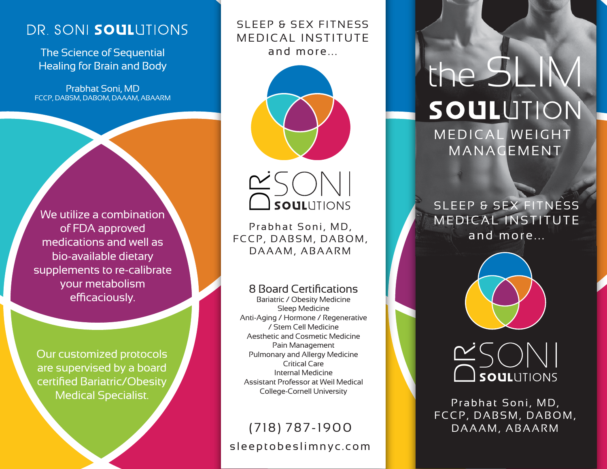## DR. SONI SOULUTIONS

The Science of Sequential Healing for Brain and Body

Prabhat Soni, MD FCCP, DABSM, DABOM, DAAAM, ABAARM

We utilize a combination of FDA approved medications and well as bio-available dietary supplements to re-calibrate your metabolism efficaciously.

Our customized protocols are supervised by a board certified Bariatric/Obesity Medical Specialist.

### SLEEP & SEX FITNESS MEDICAL INSTITUTE and more...





Prabhat Soni, MD, FCCP, DABSM, DABOM, DAAAM, ABAARM

8 Board Certifications

Bariatric / Obesity Medicine Sleep Medicine Anti-Aging / Hormone / Regenerative / Stem Cell Medicine Aesthetic and Cosmetic Medicine Pain Management Pulmonary and Allergy Medicine Critical Care Internal Medicine Assistant Professor at Weil Medical College-Cornell University

## sleeptobeslimnyc.com (718) 787-1900

# the SLIM SOULUTION MEDICAL WEIGHT MANAGEMENT

SLEEP & SEX FITNESS MEDICAL INSTITUTE and more...



# DR. SOULUTIONS

Prabhat Soni, MD, FCCP, DABSM, DABOM, DAAAM, ABAARM